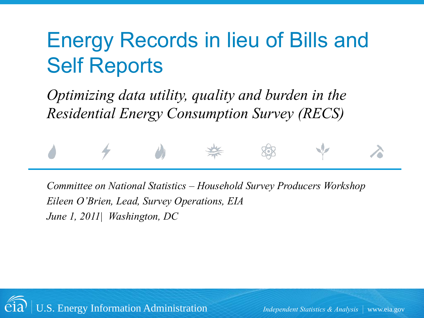#### Energy Records in lieu of Bills and Self Reports

*Optimizing data utility, quality and burden in the Residential Energy Consumption Survey (RECS)*



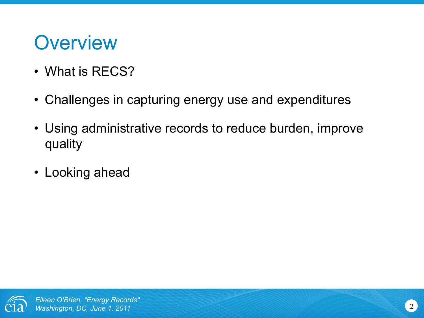#### **Overview**

- What is RECS?
- Challenges in capturing energy use and expenditures
- Using administrative records to reduce burden, improve quality
- Looking ahead

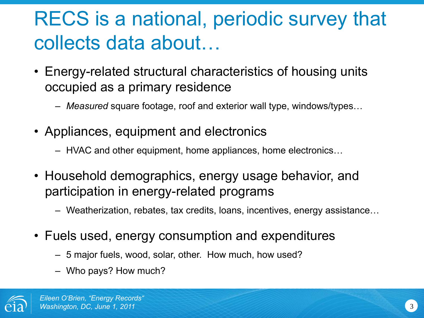#### RECS is a national, periodic survey that collects data about…

- Energy-related structural characteristics of housing units occupied as a primary residence
	- *Measured* square footage, roof and exterior wall type, windows/types…
- Appliances, equipment and electronics
	- HVAC and other equipment, home appliances, home electronics…
- Household demographics, energy usage behavior, and participation in energy-related programs
	- Weatherization, rebates, tax credits, loans, incentives, energy assistance…
- Fuels used, energy consumption and expenditures
	- 5 major fuels, wood, solar, other. How much, how used?
	- Who pays? How much?

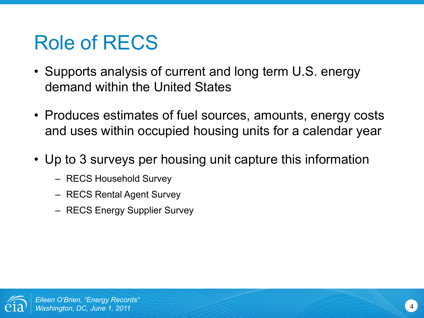#### Role of RECS

- Supports analysis of current and long term U.S. energy demand within the United States
- Produces estimates of fuel sources, amounts, energy costs and uses within occupied housing units for a calendar year
- Up to 3 surveys per housing unit capture this information
	- RECS Household Survey
	- RECS Rental Agent Survey
	- RECS Energy Supplier Survey

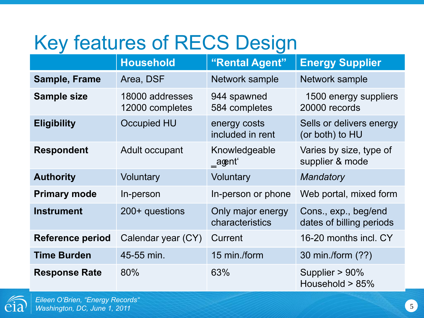#### Key features of RECS Design

|                         | <b>Household</b>                   | "Rental Agent"                       | <b>Energy Supplier</b>                           |
|-------------------------|------------------------------------|--------------------------------------|--------------------------------------------------|
| <b>Sample, Frame</b>    | Area, DSF                          | Network sample                       | Network sample                                   |
| <b>Sample size</b>      | 18000 addresses<br>12000 completes | 944 spawned<br>584 completes         | 1500 energy suppliers<br>20000 records           |
| <b>Eligibility</b>      | <b>Occupied HU</b>                 | energy costs<br>included in rent     | Sells or delivers energy<br>(or both) to HU      |
| <b>Respondent</b>       | Adult occupant                     | Knowledgeable<br>_aoent'             | Varies by size, type of<br>supplier & mode       |
| <b>Authority</b>        | Voluntary                          | Voluntary                            | Mandatory                                        |
| <b>Primary mode</b>     | In-person                          | In-person or phone                   | Web portal, mixed form                           |
| <b>Instrument</b>       | 200+ questions                     | Only major energy<br>characteristics | Cons., exp., beg/end<br>dates of billing periods |
| <b>Reference period</b> | Calendar year (CY)                 | Current                              | 16-20 months incl. CY                            |
| <b>Time Burden</b>      | 45-55 min.                         | 15 min./form                         | 30 min./form (??)                                |
| <b>Response Rate</b>    | 80%                                | 63%                                  | Supplier > 90%<br>Household > 85%                |

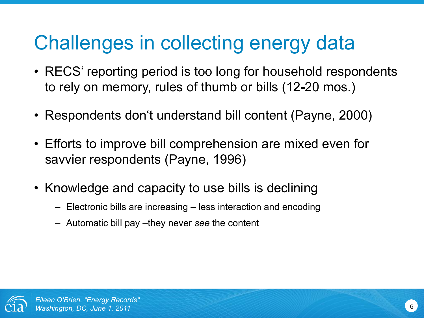#### Challenges in collecting energy data

- RECS' reporting period is too long for household respondents to rely on memory, rules of thumb or bills (12**-**20 mos.)
- Respondents don't understand bill content (Payne, 2000)
- Efforts to improve bill comprehension are mixed even for savvier respondents (Payne, 1996)
- Knowledge and capacity to use bills is declining
	- Electronic bills are increasing less interaction and encoding
	- Automatic bill pay –they never *see* the content

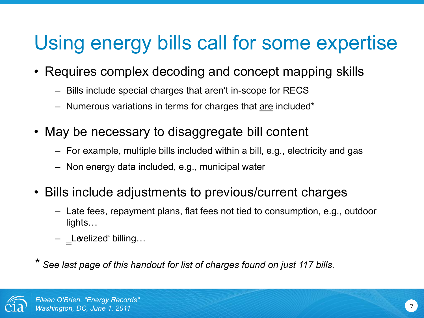#### Using energy bills call for some expertise

- Requires complex decoding and concept mapping skills
	- Bills include special charges that aren't in-scope for RECS
	- Numerous variations in terms for charges that are included\*
- May be necessary to disaggregate bill content
	- For example, multiple bills included within a bill, e.g., electricity and gas
	- Non energy data included, e.g., municipal water
- Bills include adjustments to previous/current charges
	- Late fees, repayment plans, flat fees not tied to consumption, e.g., outdoor lights…
	- Levelized' billing...

*\* See last page of this handout for list of charges found on just 117 bills.*

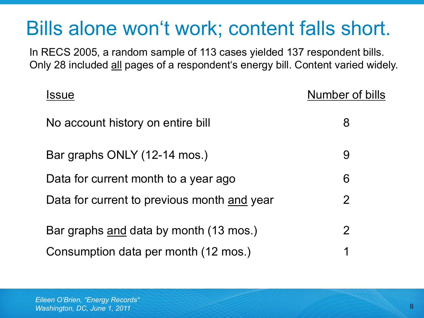#### Bills alone won't work; content falls short.

In RECS 2005, a random sample of 113 cases yielded 137 respondent bills. Only 28 included all pages of a respondent's energy bill. Content varied widely.

| <b>Issue</b>                                | Number of bills |
|---------------------------------------------|-----------------|
| No account history on entire bill           | 8               |
| Bar graphs ONLY (12-14 mos.)                | 9               |
| Data for current month to a year ago        | 6               |
| Data for current to previous month and year | $\overline{2}$  |
| Bar graphs and data by month (13 mos.)      | $\overline{2}$  |
| Consumption data per month (12 mos.)        | 1               |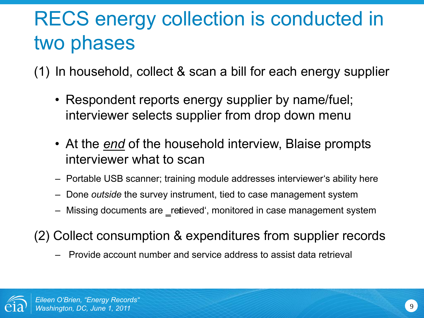#### RECS energy collection is conducted in two phases

(1) In household, collect & scan a bill for each energy supplier

- Respondent reports energy supplier by name/fuel; interviewer selects supplier from drop down menu
- At the *end* of the household interview, Blaise prompts interviewer what to scan
- Portable USB scanner; training module addresses interviewer's ability here
- Done *outside* the survey instrument, tied to case management system
- Missing documents are \_retieved', monitored in case management system
- (2) Collect consumption & expenditures from supplier records
	- Provide account number and service address to assist data retrieval

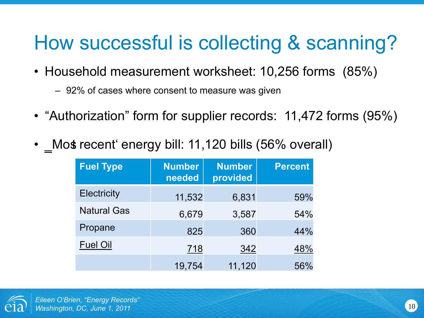#### How successful is collecting & scanning?

- Household measurement worksheet: 10,256 forms (85%)
	- 92% of cases where consent to measure was given
- "Authorization" form for supplier records: 11,472 forms (95%)
- Most recent energy bill: 11,120 bills (56% overall)

| <b>Fuel Type</b>   | <b>Number</b><br>needed | <b>Number</b><br>provided | <b>Percent</b> |
|--------------------|-------------------------|---------------------------|----------------|
| <b>Electricity</b> | 11,532                  | 6,831                     | 59%            |
| <b>Natural Gas</b> | 6,679                   | 3,587                     | 54%            |
| Propane            | 825                     | 360                       | 44%            |
| <b>Fuel Oil</b>    | 718                     | 342                       | 48%            |
|                    | 19,754                  | 11,120                    | 56%            |

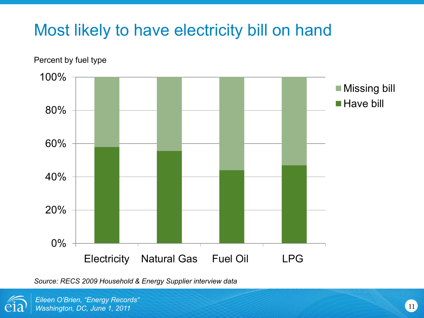#### Most likely to have electricity bill on hand



Percent by fuel type

*Source: RECS 2009 Household & Energy Supplier interview data*



*Eileen O'Brien, "Energy Records"* **Washington, DC, June 1, 2011** 11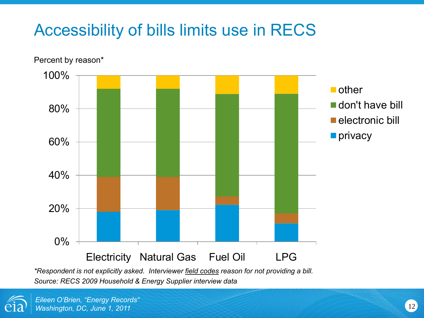#### Accessibility of bills limits use in RECS



*Source: RECS 2009 Household & Energy Supplier interview data*

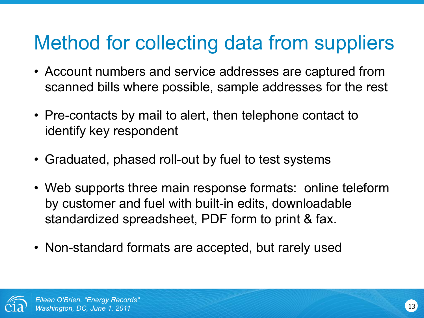#### Method for collecting data from suppliers

- Account numbers and service addresses are captured from scanned bills where possible, sample addresses for the rest
- Pre-contacts by mail to alert, then telephone contact to identify key respondent
- Graduated, phased roll-out by fuel to test systems
- Web supports three main response formats: online teleform by customer and fuel with built-in edits, downloadable standardized spreadsheet, PDF form to print & fax.
- Non-standard formats are accepted, but rarely used

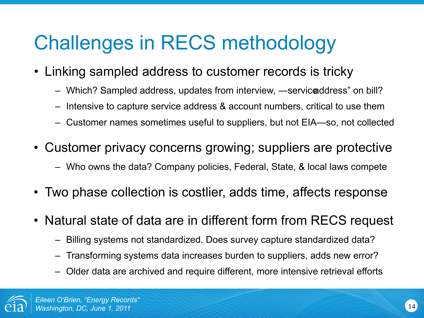#### Challenges in RECS methodology

- Linking sampled address to customer records is tricky
	- Which? Sampled address, updates from interview, —service address" on bill?
	- Intensive to capture service address & account numbers, critical to use them
	- Customer names sometimes useful to suppliers, but not EIA—so, not collected
- Customer privacy concerns growing; suppliers are protective
	- Who owns the data? Company policies, Federal, State, & local laws compete
- Two phase collection is costlier, adds time, affects response
- Natural state of data are in different form from RECS request
	- Billing systems not standardized. Does survey capture standardized data?
	- Transforming systems data increases burden to suppliers, adds new error?
	- Older data are archived and require different, more intensive retrieval efforts

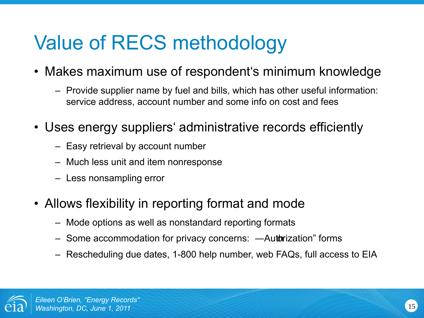#### Value of RECS methodology

- Makes maximum use of respondent's minimum knowledge
	- Provide supplier name by fuel and bills, which has other useful information: service address, account number and some info on cost and fees
- Uses energy suppliers' administrative records efficiently
	- Easy retrieval by account number
	- Much less unit and item nonresponse
	- Less nonsampling error
- Allows flexibility in reporting format and mode
	- Mode options as well as nonstandard reporting formats
	- Some accommodation for privacy concerns: —Autorization forms
	- Rescheduling due dates, 1-800 help number, web FAQs, full access to EIA

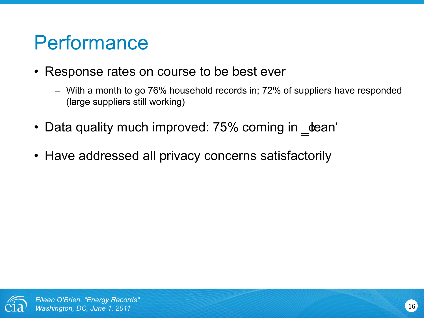#### **Performance**

- Response rates on course to be best ever
	- With a month to go 76% household records in; 72% of suppliers have responded (large suppliers still working)
- Data quality much improved: 75% coming in **\_tean**'
- Have addressed all privacy concerns satisfactorily

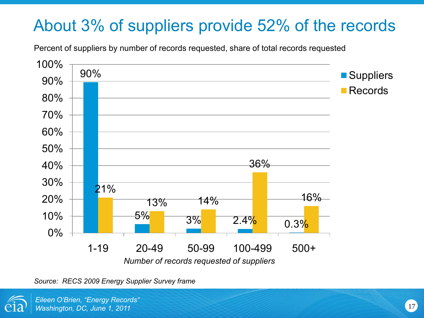#### About 3% of suppliers provide 52% of the records

Percent of suppliers by number of records requested, share of total records requested



*Source: RECS 2009 Energy Supplier Survey frame*



*Eileen O'Brien, "Energy Records" Washington, DC, June 1, 2011* 17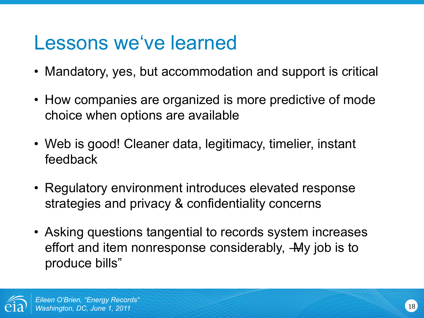#### Lessons we've learned

- Mandatory, yes, but accommodation and support is critical
- How companies are organized is more predictive of mode choice when options are available
- Web is good! Cleaner data, legitimacy, timelier, instant feedback
- Regulatory environment introduces elevated response strategies and privacy & confidentiality concerns
- Asking questions tangential to records system increases effort and item nonresponse considerably, -My job is to produce bills"

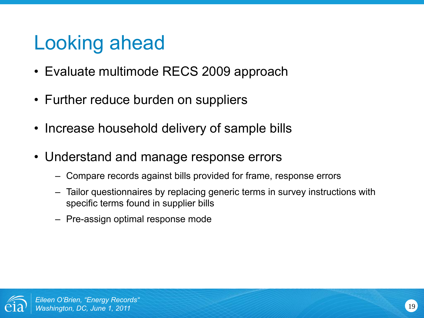#### Looking ahead

- Evaluate multimode RECS 2009 approach
- Further reduce burden on suppliers
- Increase household delivery of sample bills
- Understand and manage response errors
	- Compare records against bills provided for frame, response errors
	- Tailor questionnaires by replacing generic terms in survey instructions with specific terms found in supplier bills
	- Pre-assign optimal response mode

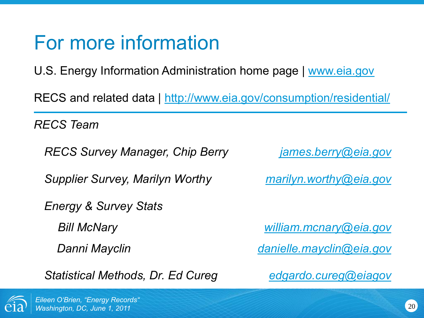#### For more information

U.S. Energy Information Administration home page | [www.eia.gov](http://www.eia.gov/)

RECS and related data |<http://www.eia.gov/consumption/residential/>

*RECS Team*

*RECS Survey Manager, Chip Berry [james.berry@eia.gov](mailto:james.berry@eia.gov)*

*Supplier Survey, Marilyn Worthy [marilyn.worthy@eia.gov](mailto:marilyn.worthy@eia.gov)*

*Energy & Survey Stats* 

*Statistical Methods, Dr. Ed Cureg [edgardo.cureg@eiagov](mailto:edgardo.cureg@eiagov)*

*Bill McNary [william.mcnary@eia.gov](mailto:william.mcnary@eia.gov)*

*Danni Mayclin [danielle.mayclin@eia.gov](mailto:danielle.mayclin@eia.gov)*